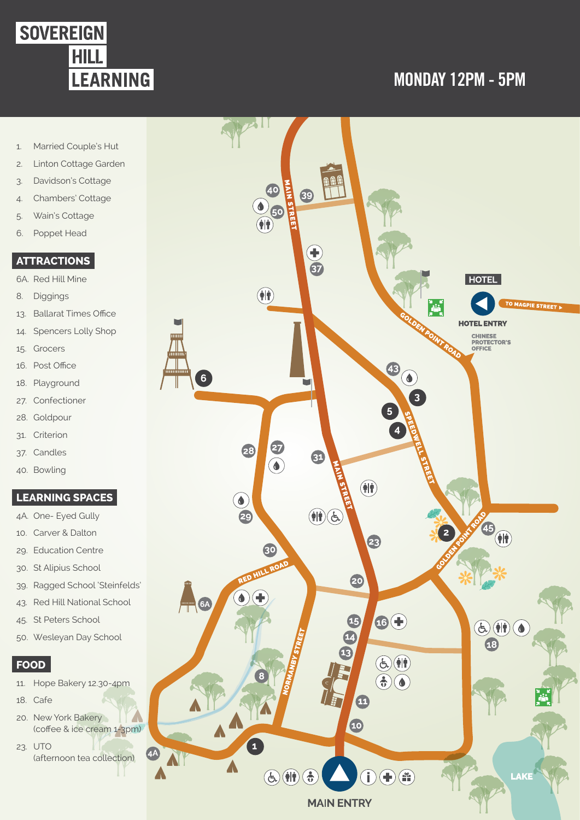

# **MONDAY 12PM - 5PM**